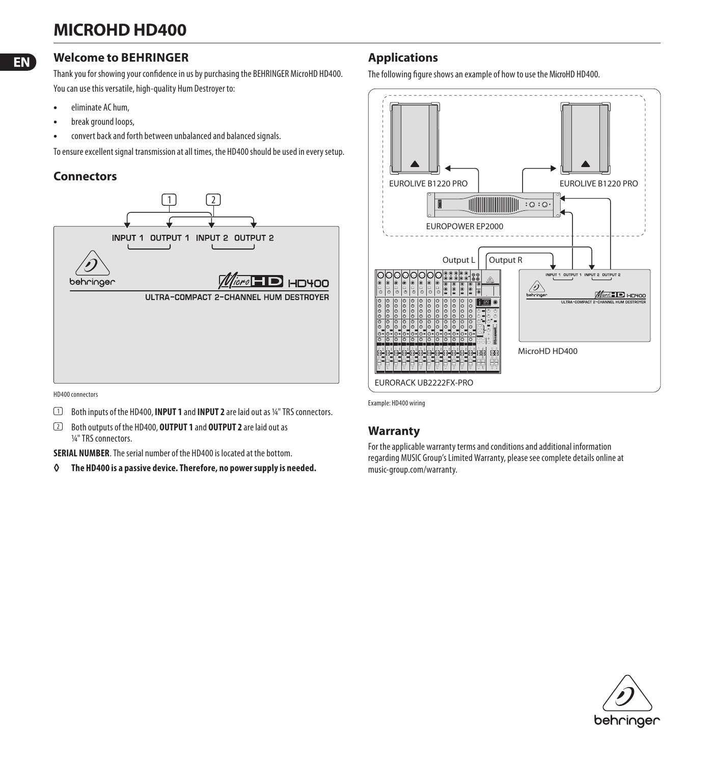# **MICROHD HD400**

#### **EN**

### **Welcome to BEHRINGER**

Thank you for showing your confidence in us by purchasing the BEHRINGER MicroHD HD400. You can use this versatile, high-quality Hum Destroyer to:

- eliminate AC hum,
- break ground loops,
- convert back and forth between unbalanced and balanced signals.

To ensure excellent signal transmission at all times, the HD400 should be used in every setup.

## **Connectors**



HD400 connectors

- (1) Both inputs of the HD400, **INPUT 1** and **INPUT 2** are laid out as ¼ " TRS connectors.
- (2) Both outputs of the HD400, **OUTPUT 1** and **OUTPUT 2** are laid out as 1/4" TRS connectors.

**SERIAL NUMBER**. The serial number of the HD400 is located at the bottom.

**◊ The HD400 is a passive device. Therefore, no power supply is needed.**

# **Applications**

The following figure shows an example of how to use the MicroHD HD400.



Example: HD400 wiring

#### **Warranty**

For the applicable warranty terms and conditions and additional information regarding MUSIC Group's Limited Warranty, please see complete details online at music-group.com/warranty.